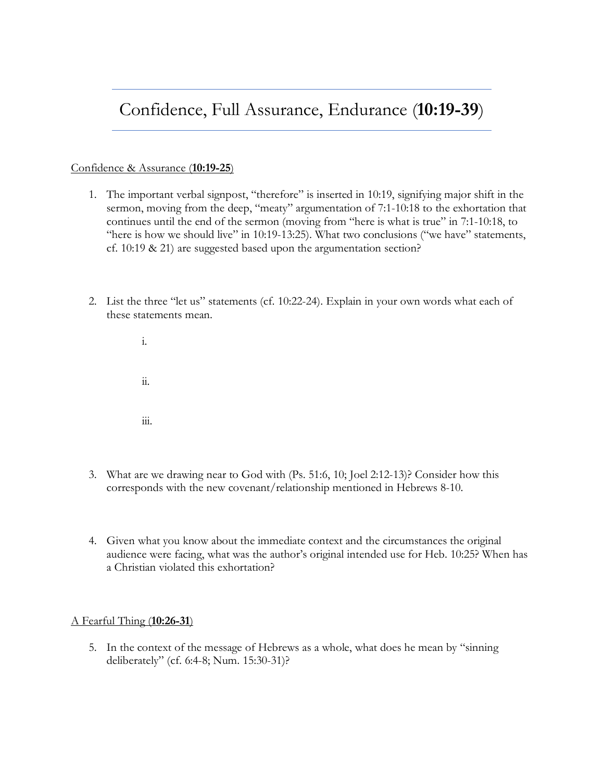## Confidence, Full Assurance, Endurance (**10:19-39**)

## Confidence & Assurance (**10:19-25**)

- 1. The important verbal signpost, "therefore" is inserted in 10:19, signifying major shift in the sermon, moving from the deep, "meaty" argumentation of 7:1-10:18 to the exhortation that continues until the end of the sermon (moving from "here is what is true" in 7:1-10:18, to "here is how we should live" in 10:19-13:25). What two conclusions ("we have" statements, cf. 10:19 & 21) are suggested based upon the argumentation section?
- 2. List the three "let us" statements (cf. 10:22-24). Explain in your own words what each of these statements mean.

i. ii. iii.

- 3. What are we drawing near to God with (Ps. 51:6, 10; Joel 2:12-13)? Consider how this corresponds with the new covenant/relationship mentioned in Hebrews 8-10.
- 4. Given what you know about the immediate context and the circumstances the original audience were facing, what was the author's original intended use for Heb. 10:25? When has a Christian violated this exhortation?

A Fearful Thing (**10:26-31**)

5. In the context of the message of Hebrews as a whole, what does he mean by "sinning deliberately" (cf. 6:4-8; Num. 15:30-31)?